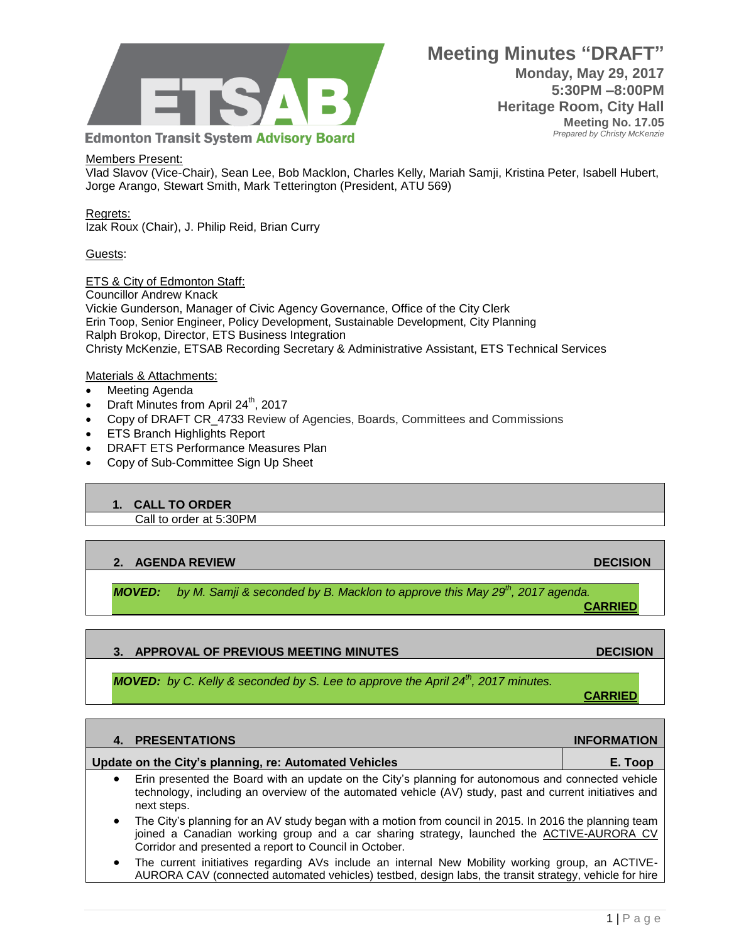

#### Members Present:

Vlad Slavov (Vice-Chair), Sean Lee, Bob Macklon, Charles Kelly, Mariah Samji, Kristina Peter, Isabell Hubert, Jorge Arango, Stewart Smith, Mark Tetterington (President, ATU 569)

#### Regrets: Izak Roux (Chair), J. Philip Reid, Brian Curry

#### Guests:

ETS & City of Edmonton Staff:

Councillor Andrew Knack Vickie Gunderson, Manager of Civic Agency Governance, Office of the City Clerk Erin Toop, Senior Engineer, Policy Development, Sustainable Development, City Planning Ralph Brokop, Director, ETS Business Integration Christy McKenzie, ETSAB Recording Secretary & Administrative Assistant, ETS Technical Services

#### Materials & Attachments:

- Meeting Agenda
- Draft Minutes from April  $24^{th}$ , 2017
- Copy of DRAFT CR\_4733 Review of Agencies, Boards, Committees and Commissions
- ETS Branch Highlights Report
- DRAFT ETS Performance Measures Plan
- Copy of Sub-Committee Sign Up Sheet

### **1. CALL TO ORDER**

Call to order at 5:30PM

### **2. AGENDA REVIEW DECISION**

*MOVED: by M. Samji & seconded by B. Macklon to approve this May 29th, 2017 agenda.* 

### **3. APPROVAL OF PREVIOUS MEETING MINUTES ARE ALCOHOLY AND RECISION CONSUMING A RECISION**

*MOVED: by C. Kelly & seconded by S. Lee to approve the April 24<sup>th</sup>, 2017 minutes.* 

## **4. PRESENTATIONS INFORMATION**

#### **Update on the City's planning, re: Automated Vehicles E. Toop**

- Erin presented the Board with an update on the City's planning for autonomous and connected vehicle technology, including an overview of the automated vehicle (AV) study, past and current initiatives and next steps.
- The City's planning for an AV study began with a motion from council in 2015. In 2016 the planning team joined a Canadian working group and a car sharing strategy, launched the [ACTIVE-AURORA CV](https://www.alberta.ca/release.cfm?xID=4342706B2F973-F636-E821-D94C9596D4DB4460) Corridor and presented a report to Council in October.
- The current initiatives regarding AVs include an internal New Mobility working group, an ACTIVE-AURORA CAV (connected automated vehicles) testbed, design labs, the transit strategy, vehicle for hire

**CARRIED**

**CARRIED**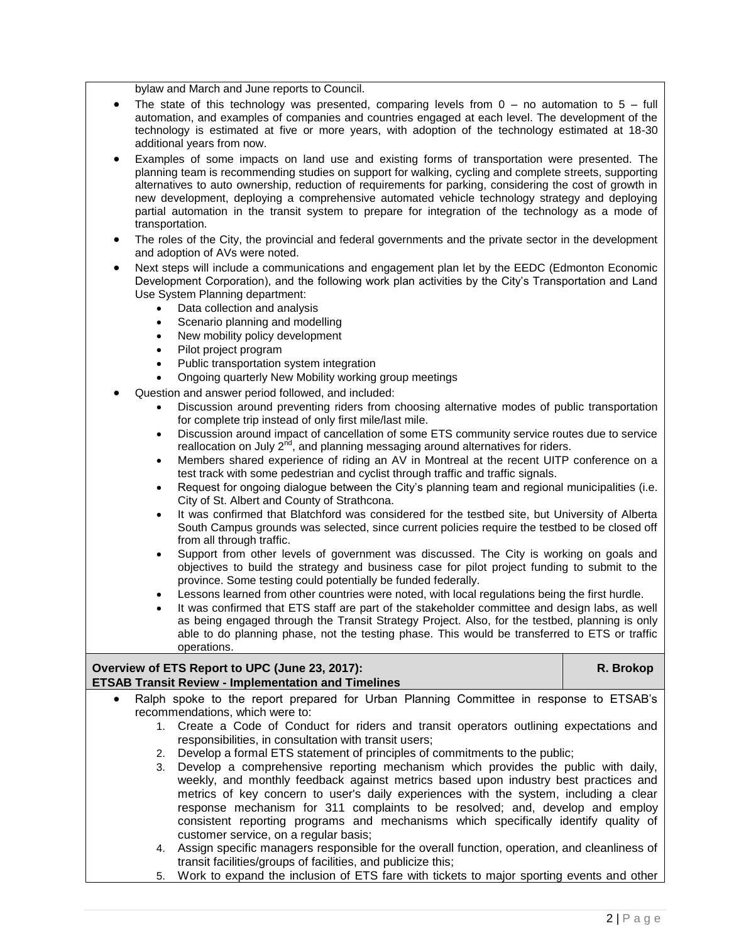bylaw and March and June reports to Council.

- The state of this technology was presented, comparing levels from  $0 -$  no automation to  $5 -$  full automation, and examples of companies and countries engaged at each level. The development of the technology is estimated at five or more years, with adoption of the technology estimated at 18-30 additional years from now.
- Examples of some impacts on land use and existing forms of transportation were presented. The planning team is recommending studies on support for walking, cycling and complete streets, supporting alternatives to auto ownership, reduction of requirements for parking, considering the cost of growth in new development, deploying a comprehensive automated vehicle technology strategy and deploying partial automation in the transit system to prepare for integration of the technology as a mode of transportation.
- The roles of the City, the provincial and federal governments and the private sector in the development and adoption of AVs were noted.
- Next steps will include a communications and engagement plan let by the EEDC (Edmonton Economic Development Corporation), and the following work plan activities by the City's Transportation and Land Use System Planning department:
	- Data collection and analysis
	- Scenario planning and modelling
	- New mobility policy development
	- Pilot project program
	- Public transportation system integration
	- Ongoing quarterly New Mobility working group meetings
- Question and answer period followed, and included:
	- Discussion around preventing riders from choosing alternative modes of public transportation for complete trip instead of only first mile/last mile.
	- Discussion around impact of cancellation of some ETS community service routes due to service reallocation on July 2<sup>nd</sup>, and planning messaging around alternatives for riders.
	- Members shared experience of riding an AV in Montreal at the recent UITP conference on a test track with some pedestrian and cyclist through traffic and traffic signals.
	- Request for ongoing dialogue between the City's planning team and regional municipalities (i.e. City of St. Albert and County of Strathcona.
	- It was confirmed that Blatchford was considered for the testbed site, but University of Alberta South Campus grounds was selected, since current policies require the testbed to be closed off from all through traffic.
	- Support from other levels of government was discussed. The City is working on goals and objectives to build the strategy and business case for pilot project funding to submit to the province. Some testing could potentially be funded federally.
	- Lessons learned from other countries were noted, with local regulations being the first hurdle.
	- It was confirmed that ETS staff are part of the stakeholder committee and design labs, as well as being engaged through the Transit Strategy Project. Also, for the testbed, planning is only able to do planning phase, not the testing phase. This would be transferred to ETS or traffic operations.

# **Overview of ETS Report to UPC (June 23, 2017): ETSAB Transit Review - Implementation and Timelines**

- Ralph spoke to the report prepared for Urban Planning Committee in response to ETSAB's recommendations, which were to:
	- 1. Create a Code of Conduct for riders and transit operators outlining expectations and responsibilities, in consultation with transit users;
	- 2. Develop a formal ETS statement of principles of commitments to the public;
	- 3. Develop a comprehensive reporting mechanism which provides the public with daily, weekly, and monthly feedback against metrics based upon industry best practices and metrics of key concern to user's daily experiences with the system, including a clear response mechanism for 311 complaints to be resolved; and, develop and employ consistent reporting programs and mechanisms which specifically identify quality of customer service, on a regular basis;
	- 4. Assign specific managers responsible for the overall function, operation, and cleanliness of transit facilities/groups of facilities, and publicize this;
	- 5. Work to expand the inclusion of ETS fare with tickets to major sporting events and other

**R. Brokop**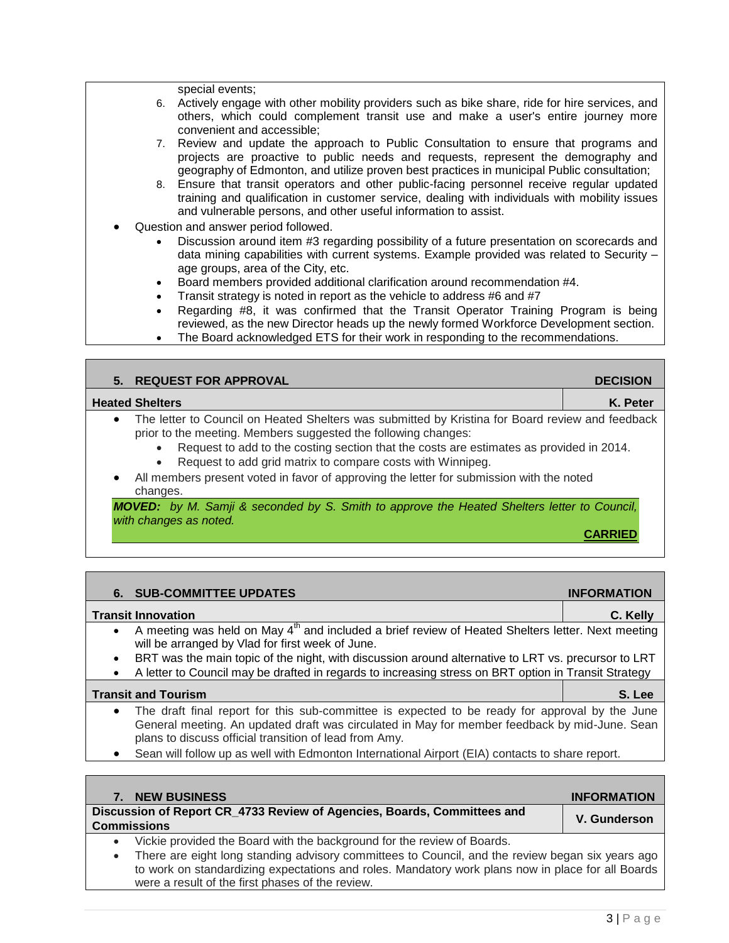special events;

- 6. Actively engage with other mobility providers such as bike share, ride for hire services, and others, which could complement transit use and make a user's entire journey more convenient and accessible;
- 7. Review and update the approach to Public Consultation to ensure that programs and projects are proactive to public needs and requests, represent the demography and geography of Edmonton, and utilize proven best practices in municipal Public consultation;
- 8. Ensure that transit operators and other public-facing personnel receive regular updated training and qualification in customer service, dealing with individuals with mobility issues and vulnerable persons, and other useful information to assist.
- Question and answer period followed.
	- Discussion around item #3 regarding possibility of a future presentation on scorecards and data mining capabilities with current systems. Example provided was related to Security – age groups, area of the City, etc.
	- Board members provided additional clarification around recommendation #4.
	- Transit strategy is noted in report as the vehicle to address #6 and #7
	- Regarding #8, it was confirmed that the Transit Operator Training Program is being reviewed, as the new Director heads up the newly formed Workforce Development section.
	- The Board acknowledged ETS for their work in responding to the recommendations.

| <b>REQUEST FOR APPROVAL</b><br>5.                                                                                                                                                                                                                                                                                                                                                                                                                                          | <b>DECISION</b> |
|----------------------------------------------------------------------------------------------------------------------------------------------------------------------------------------------------------------------------------------------------------------------------------------------------------------------------------------------------------------------------------------------------------------------------------------------------------------------------|-----------------|
| <b>Heated Shelters</b>                                                                                                                                                                                                                                                                                                                                                                                                                                                     | K. Peter        |
| The letter to Council on Heated Shelters was submitted by Kristina for Board review and feedback<br>$\bullet$<br>prior to the meeting. Members suggested the following changes:<br>Request to add to the costing section that the costs are estimates as provided in 2014.<br>Request to add grid matrix to compare costs with Winnipeg.<br>$\bullet$<br>All members present voted in favor of approving the letter for submission with the noted<br>$\bullet$<br>changes. |                 |
| <b>MOVED:</b> by M. Samji & seconded by S. Smith to approve the Heated Shelters letter to Council,<br>with changes as noted.                                                                                                                                                                                                                                                                                                                                               |                 |

| <b>CARRIED</b> |  |
|----------------|--|
|                |  |
|                |  |

| <b>SUB-COMMITTEE UPDATES</b><br>6.                                                                                                                                             | <b>INFORMATION</b> |
|--------------------------------------------------------------------------------------------------------------------------------------------------------------------------------|--------------------|
| <b>Transit Innovation</b>                                                                                                                                                      | C. Kelly           |
| A meeting was held on May 4 <sup>th</sup> and included a brief review of Heated Shelters letter. Next meeting<br>$\bullet$<br>will be arranged by Vlad for first week of June. |                    |
| BRT was the main topic of the night, with discussion around alternative to LRT vs. precursor to LRT<br>٠                                                                       |                    |
| A letter to Council may be drafted in regards to increasing stress on BRT option in Transit Strategy                                                                           |                    |
| <b>Transit and Tourism</b>                                                                                                                                                     | S. Lee             |
| The draft final report for this sub-committee is expected to be ready for approval by the June<br>٠                                                                            |                    |

- General meeting. An updated draft was circulated in May for member feedback by mid-June. Sean plans to discuss official transition of lead from Amy.
- Sean will follow up as well with Edmonton International Airport (EIA) contacts to share report.

| <b>NEW BUSINESS</b>                                                                    |  |  |  |  |  |  |  |  |  |  | <b>INFORMATION</b> |  |  |
|----------------------------------------------------------------------------------------|--|--|--|--|--|--|--|--|--|--|--------------------|--|--|
| Discussion of Report CR_4733 Review of Agencies, Boards, Committees and<br>Commissions |  |  |  |  |  |  |  |  |  |  | V. Gunderson       |  |  |
|                                                                                        |  |  |  |  |  |  |  |  |  |  |                    |  |  |

- Vickie provided the Board with the background for the review of Boards.
- There are eight long standing advisory committees to Council, and the review began six years ago to work on standardizing expectations and roles. Mandatory work plans now in place for all Boards were a result of the first phases of the review.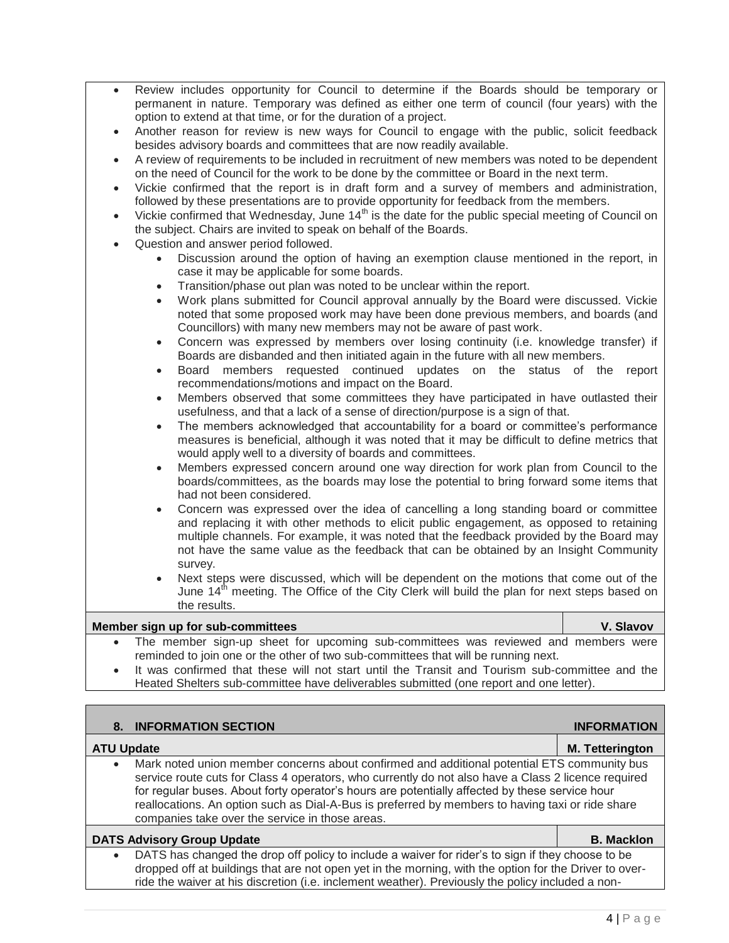- Review includes opportunity for Council to determine if the Boards should be temporary or permanent in nature. Temporary was defined as either one term of council (four years) with the option to extend at that time, or for the duration of a project.
- Another reason for review is new ways for Council to engage with the public, solicit feedback besides advisory boards and committees that are now readily available.
- A review of requirements to be included in recruitment of new members was noted to be dependent on the need of Council for the work to be done by the committee or Board in the next term.
- Vickie confirmed that the report is in draft form and a survey of members and administration, followed by these presentations are to provide opportunity for feedback from the members.
- Vickie confirmed that Wednesday, June 14<sup>th</sup> is the date for the public special meeting of Council on the subject. Chairs are invited to speak on behalf of the Boards.
- Question and answer period followed.
	- Discussion around the option of having an exemption clause mentioned in the report, in case it may be applicable for some boards.
	- Transition/phase out plan was noted to be unclear within the report.
	- Work plans submitted for Council approval annually by the Board were discussed. Vickie noted that some proposed work may have been done previous members, and boards (and Councillors) with many new members may not be aware of past work.
	- Concern was expressed by members over losing continuity (i.e. knowledge transfer) if Boards are disbanded and then initiated again in the future with all new members.
	- Board members requested continued updates on the status of the report recommendations/motions and impact on the Board.
	- Members observed that some committees they have participated in have outlasted their usefulness, and that a lack of a sense of direction/purpose is a sign of that.
	- The members acknowledged that accountability for a board or committee's performance measures is beneficial, although it was noted that it may be difficult to define metrics that would apply well to a diversity of boards and committees.
	- Members expressed concern around one way direction for work plan from Council to the boards/committees, as the boards may lose the potential to bring forward some items that had not been considered.
	- Concern was expressed over the idea of cancelling a long standing board or committee and replacing it with other methods to elicit public engagement, as opposed to retaining multiple channels. For example, it was noted that the feedback provided by the Board may not have the same value as the feedback that can be obtained by an Insight Community survey.
	- Next steps were discussed, which will be dependent on the motions that come out of the June  $14<sup>th</sup>$  meeting. The Office of the City Clerk will build the plan for next steps based on the results.

#### **Member sign up for sub-committees V. Slavov**

- The member sign-up sheet for upcoming sub-committees was reviewed and members were reminded to join one or the other of two sub-committees that will be running next.
- It was confirmed that these will not start until the Transit and Tourism sub-committee and the Heated Shelters sub-committee have deliverables submitted (one report and one letter).

| 8. INFORMATION SECTION                                                                                                                                                                                                                                                                                                                                                                                                                                                   | <b>INFORMATION</b>     |
|--------------------------------------------------------------------------------------------------------------------------------------------------------------------------------------------------------------------------------------------------------------------------------------------------------------------------------------------------------------------------------------------------------------------------------------------------------------------------|------------------------|
| <b>ATU Update</b>                                                                                                                                                                                                                                                                                                                                                                                                                                                        | <b>M.</b> Tetterington |
| Mark noted union member concerns about confirmed and additional potential ETS community bus<br>$\bullet$<br>service route cuts for Class 4 operators, who currently do not also have a Class 2 licence required<br>for regular buses. About forty operator's hours are potentially affected by these service hour<br>reallocations. An option such as Dial-A-Bus is preferred by members to having taxi or ride share<br>companies take over the service in those areas. |                        |
| <b>DATS Advisory Group Update</b>                                                                                                                                                                                                                                                                                                                                                                                                                                        | <b>B. Macklon</b>      |
| DATS has changed the drop off policy to include a waiver for rider's to sign if they choose to be<br>$\bullet$<br>dropped off at buildings that are not open yet in the morning, with the option for the Driver to over-<br>ride the waiver at his discretion (i.e. inclement weather). Previously the policy included a non-                                                                                                                                            |                        |